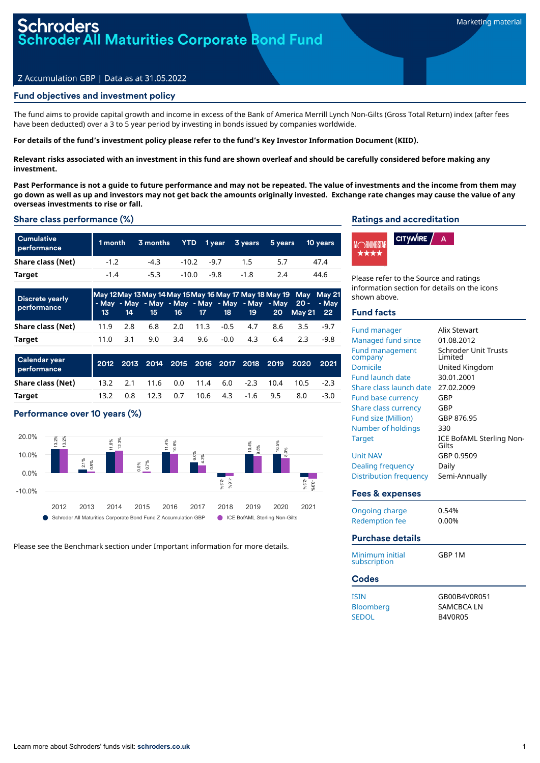# roders<br>oder All Maturities Corporate Bond Fund

### Z Accumulation GBP | Data as at 31.05.2022

### Fund objectives and investment policy

The fund aims to provide capital growth and income in excess of the Bank of America Merrill Lynch Non-Gilts (Gross Total Return) index (after fees have been deducted) over a 3 to 5 year period by investing in bonds issued by companies worldwide.

### For details of the fund's investment policy please refer to the fund's Key Investor Information Document (KIID).

Relevant risks associated with an investment in this fund are shown overleaf and should be carefully considered before making any **investment.**

Past Performance is not a quide to future performance and may not be repeated. The value of investments and the income from them may go down as well as up and investors may not get back the amounts originally invested. Exchange rate changes may cause the value of any **overseas investments to rise or fall.**

### Share class performance (%)

| <b>Cumulative</b><br>performance | 1 month | 3 months YTD 1year 3 years 5 years |         |      |        | 10 years |
|----------------------------------|---------|------------------------------------|---------|------|--------|----------|
| Share class (Net)                | $-1.2$  | $-4.3$                             | $-10.2$ | -97  | 15     | 47.4     |
| Target                           | $-1.4$  | -5.3                               | -10.0   | -9.8 | $-1.8$ | 44.6     |

| <b>Discrete yearly</b><br>performance | 13               | 14 | 15 - |                 |                       |      |     |     | May 12 May 13 May 14 May 15 May 16 May 17 May 18 May 19 May May 21<br>- May - May - May - May - May - May - May - May 20 - - May<br>16 17 18 19 20 May 21 22 |        |
|---------------------------------------|------------------|----|------|-----------------|-----------------------|------|-----|-----|--------------------------------------------------------------------------------------------------------------------------------------------------------------|--------|
| Share class (Net)                     | 11.9 2.8         |    |      |                 | 6.8 2.0 11.3 -0.5 4.7 |      |     | 8.6 | 3.5                                                                                                                                                          | $-9.7$ |
| Target                                | $11.0 \quad 3.1$ |    |      | $9.0\qquad 3.4$ | 9.6                   | -0.0 | 4.3 | 6.4 | 2 3 L                                                                                                                                                        | -9.8   |

| Calendar year<br>performance |  |                                      |  |  | 2012 2013 2014 2015 2016 2017 2018 2019 2020 2021 |        |
|------------------------------|--|--------------------------------------|--|--|---------------------------------------------------|--------|
| Share class (Net)            |  | 13.2 2.1 11.6 0.0 11.4 6.0 -2.3 10.4 |  |  | 10.5                                              | $-2.3$ |
| Target                       |  | 13.2 0.8 12.3 0.7 10.6 4.3 -1.6 9.5  |  |  | 8.0                                               | $-3.0$ |

### Performance over 10 years (%)



Please see the Benchmark section under Important information for more details.

### Ratings and accreditation



Please refer to the Source and ratings information section for details on the icons shown above.

### Fund facts

| <b>Fund manager</b><br>Managed fund since<br><b>Fund management</b><br>company<br><b>Domicile</b><br><b>Fund launch date</b><br>Share class launch date<br>Fund base currency<br>Share class currency | Alix Stewart<br>01.08.2012<br><b>Schroder Unit Trusts</b><br>I imited<br>United Kingdom<br>30.01.2001<br>27.02.2009<br>GBP<br>GBP |
|-------------------------------------------------------------------------------------------------------------------------------------------------------------------------------------------------------|-----------------------------------------------------------------------------------------------------------------------------------|
| <b>Fund size (Million)</b>                                                                                                                                                                            | GBP 876.95                                                                                                                        |
| Number of holdings                                                                                                                                                                                    | 330                                                                                                                               |
| <b>Target</b>                                                                                                                                                                                         | ICE BofAML Sterling Non-<br>Gilts                                                                                                 |
| <b>Unit NAV</b>                                                                                                                                                                                       | GBP 0.9509                                                                                                                        |
| <b>Dealing frequency</b>                                                                                                                                                                              | Daily                                                                                                                             |
| <b>Distribution frequency</b>                                                                                                                                                                         | Semi-Annually                                                                                                                     |
| <b>Fees &amp; expenses</b>                                                                                                                                                                            |                                                                                                                                   |
| <b>Ongoing charge</b><br><b>Redemption fee</b>                                                                                                                                                        | 0.54%<br>0.00%                                                                                                                    |
| <b>Purchase details</b>                                                                                                                                                                               |                                                                                                                                   |
| Minimum initial<br>subscription                                                                                                                                                                       | GBP 1M                                                                                                                            |
| <b>Codes</b>                                                                                                                                                                                          |                                                                                                                                   |
| <b>ISIN</b><br>Bloomberg<br><b>SEDOL</b>                                                                                                                                                              | GB00B4V0R051<br><b>SAMCBCA LN</b><br><b>B4V0R05</b>                                                                               |
|                                                                                                                                                                                                       |                                                                                                                                   |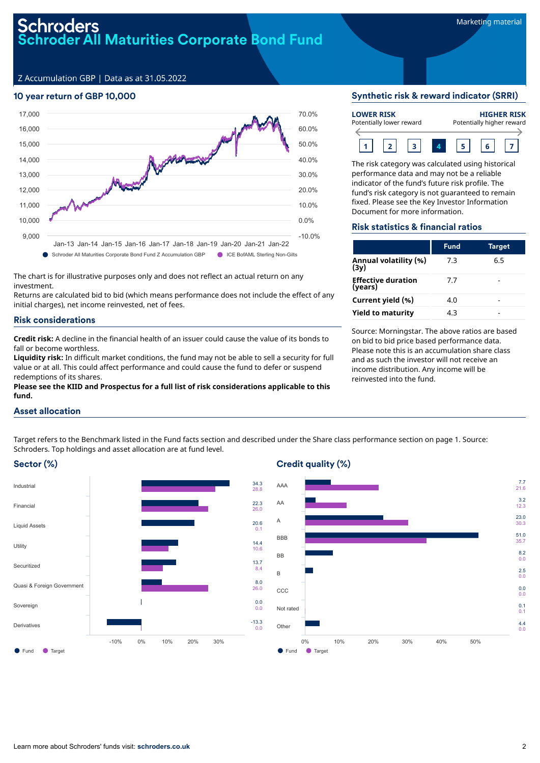# Schroders<br>Schroder All Maturities Corporate Bond Fund

Z Accumulation GBP | Data as at 31.05.2022

## 10 year return of GBP 10,000



The chart is for illustrative purposes only and does not reflect an actual return on any investment.

Returns are calculated bid to bid (which means performance does not include the effect of any initial charges), net income reinvested, net of fees.

### Risk considerations

**Credit risk:** A decline in the financial health of an issuer could cause the value of its bonds to fall or become worthless.

**Liquidity risk:** In difficult market conditions, the fund may not be able to sell a security for full value or at all. This could affect performance and could cause the fund to defer or suspend redemptions of its shares.

**Please see the KIID and Prospectus for a full list of risk considerations applicable to this fund.**

### Synthetic risk & reward indicator (SRRI)

| <b>LOWER RISK</b><br>Potentially lower reward |  |  |  | <b>HIGHER RISK</b><br>Potentially higher reward |  |  |  |
|-----------------------------------------------|--|--|--|-------------------------------------------------|--|--|--|
|                                               |  |  |  |                                                 |  |  |  |

The risk category was calculated using historical performance data and may not be a reliable indicator of the fund's future risk profile. The fund's risk category is not guaranteed to remain fixed. Please see the Key Investor Information Document for more information.

### Risk statistics & financial ratios

|                                      | <b>Fund</b> | <b>Target</b> |
|--------------------------------------|-------------|---------------|
| Annual volatility (%)<br>(3y)        | 7.3         | 6.5           |
| <b>Effective duration</b><br>(years) | 7.7         |               |
| Current yield (%)                    | 4.0         |               |
| <b>Yield to maturity</b>             | 4.3         |               |

Source: Morningstar. The above ratios are based on bid to bid price based performance data. Please note this is an accumulation share class and as such the investor will not receive an income distribution. Any income will be reinvested into the fund.

### Asset allocation

Target refers to the Benchmark listed in the Fund facts section and described under the Share class performance section on page 1. Source: Schroders. Top holdings and asset allocation are at fund level.

0.1

10.6

 $\overline{8}$ .4 8.0

 $0.0$ 0.0



### Credit quality (%)

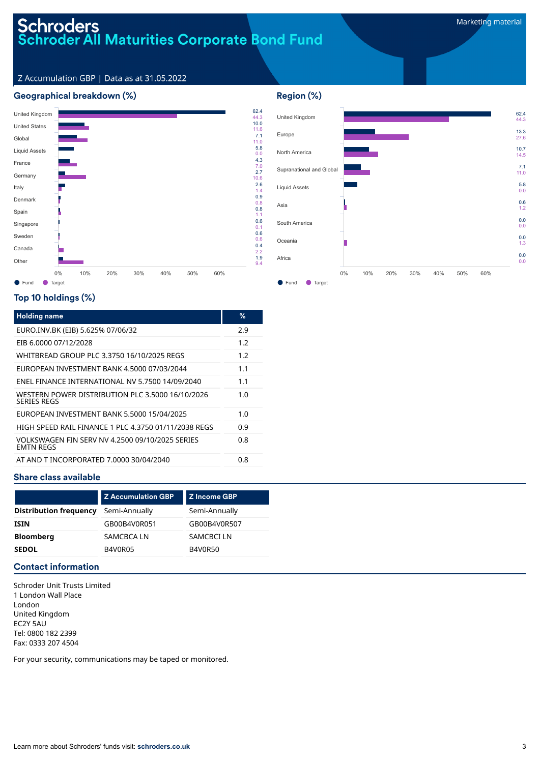# Schroders<br>Schroder All Maturities Corporate Bond Fund

62.4 44.3 13.3 27.6 10.7 14.5 7.1 11.0 5.8 0.0 0.6 1.2 0.0 0.0 0.0 1.3 0.0 0.0

### Z Accumulation GBP | Data as at 31.05.2022

### Geographical breakdown (%)



# United Kingdom Europe North America Supranational and Global Liquid Assets Asia South America Oceania Africa 0% 10% 20% 30% 40% 50% 60%

Region (%)

● Fund ● Target

### Top 10 holdings (%)

| <b>Holding name</b>                                                    | %   |
|------------------------------------------------------------------------|-----|
| EURO.INV.BK (EIB) 5.625% 07/06/32                                      | 2.9 |
| EIB 6.0000 07/12/2028                                                  | 1.2 |
| WHITBREAD GROUP PLC 3.3750 16/10/2025 REGS                             | 1.2 |
| EUROPEAN INVESTMENT BANK 4.5000 07/03/2044                             | 1.1 |
| <b>FNEL FINANCE INTERNATIONAL NV 5.7500 14/09/2040</b>                 | 1.1 |
| WESTERN POWER DISTRIBUTION PLC 3.5000 16/10/2026<br><b>SERIES REGS</b> | 1.0 |
| FUROPFAN INVESTMENT BANK 5,5000 15/04/2025                             | 1.0 |
| HIGH SPEED RAIL FINANCE 1 PLC 4.3750 01/11/2038 REGS                   | 0.9 |
| VOLKSWAGEN FIN SERV NV 4.2500.09/10/2025 SERIES<br><b>FMTN RFGS</b>    | 0.8 |
| AT AND T INCORPORATED 7.0000 30/04/2040                                | 0.8 |

### Share class available

|                               | <b>Z Accumulation GBP</b> | l Z Income GBP |
|-------------------------------|---------------------------|----------------|
| <b>Distribution frequency</b> | Semi-Annually             | Semi-Annually  |
| ISIN                          | GB00B4V0R051              | GB00B4V0R507   |
| <b>Bloomberg</b>              | SAMCBCA LN                | SAMCBCI LN     |
| <b>SEDOL</b>                  | B4V0R05                   | <b>B4V0R50</b> |

### Contact information

Schroder Unit Trusts Limited 1 London Wall Place London United Kingdom EC2Y 5AU Tel: 0800 182 2399 Fax: 0333 207 4504

For your security, communications may be taped or monitored.